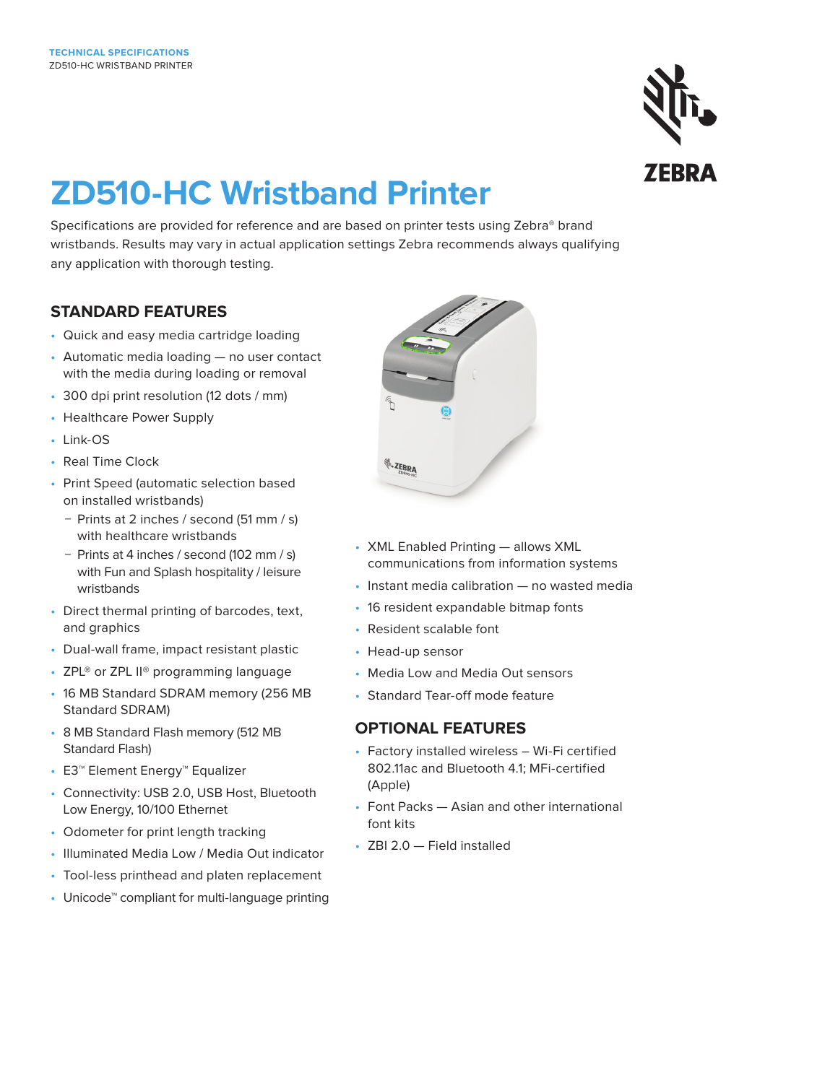

# **ZD510-HC Wristband Printer**

Specifications are provided for reference and are based on printer tests using Zebra® brand wristbands. Results may vary in actual application settings Zebra recommends always qualifying any application with thorough testing.

# **STANDARD FEATURES**

- Quick and easy media cartridge loading
- Automatic media loading no user contact with the media during loading or removal
- 300 dpi print resolution (12 dots / mm)
- Healthcare Power Supply
- Link-OS
- Real Time Clock
- Print Speed (automatic selection based on installed wristbands)
	- − Prints at 2 inches / second (51 mm / s) with healthcare wristbands
	- − Prints at 4 inches / second (102 mm / s) with Fun and Splash hospitality / leisure wristbands
- Direct thermal printing of barcodes, text, and graphics
- Dual-wall frame, impact resistant plastic
- ZPL<sup>®</sup> or ZPL II<sup>®</sup> programming language
- 16 MB Standard SDRAM memory (256 MB Standard SDRAM)
- 8 MB Standard Flash memory (512 MB Standard Flash)
- E3™ Element Energy™ Equalizer
- Connectivity: USB 2.0, USB Host, Bluetooth Low Energy, 10/100 Ethernet
- Odometer for print length tracking
- Illuminated Media Low / Media Out indicator
- Tool-less printhead and platen replacement
- Unicode™ compliant for multi-language printing



- XML Enabled Printing allows XML communications from information systems
- Instant media calibration no wasted media
- 16 resident expandable bitmap fonts
- Resident scalable font
- Head-up sensor
- Media Low and Media Out sensors
- Standard Tear-off mode feature

# **OPTIONAL FEATURES**

- Factory installed wireless Wi-Fi certified 802.11ac and Bluetooth 4.1; MFi-certified (Apple)
- Font Packs Asian and other international font kits
- ZBI 2.0 Field installed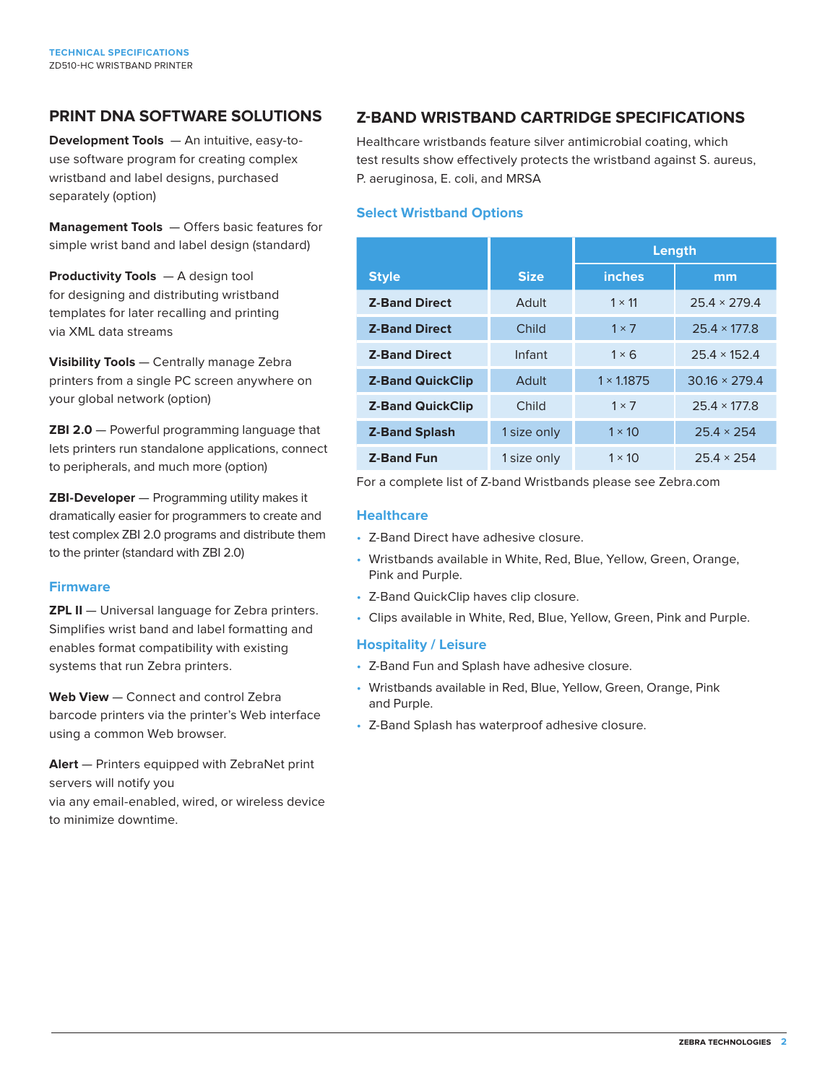## **PRINT DNA SOFTWARE SOLUTIONS**

**Development Tools** — An intuitive, easy-touse software program for creating complex wristband and label designs, purchased separately (option)

**Management Tools** — Offers basic features for simple wrist band and label design (standard)

**Productivity Tools** — A design tool for designing and distributing wristband templates for later recalling and printing via XML data streams

**Visibility Tools** — Centrally manage Zebra printers from a single PC screen anywhere on your global network (option)

**ZBI 2.0** — Powerful programming language that lets printers run standalone applications, connect to peripherals, and much more (option)

**ZBI-Developer** — Programming utility makes it dramatically easier for programmers to create and test complex ZBI 2.0 programs and distribute them to the printer (standard with ZBI 2.0)

#### **Firmware**

**ZPL II** — Universal language for Zebra printers. Simplifies wrist band and label formatting and enables format compatibility with existing systems that run Zebra printers.

**Web View** — Connect and control Zebra barcode printers via the printer's Web interface using a common Web browser.

**Alert** — Printers equipped with ZebraNet print servers will notify you via any email-enabled, wired, or wireless device to minimize downtime.

# **Z-BAND WRISTBAND CARTRIDGE SPECIFICATIONS**

Healthcare wristbands feature silver antimicrobial coating, which test results show effectively protects the wristband against S. aureus, P. aeruginosa, E. coli, and MRSA

#### **Select Wristband Options**

|                         |             | Length            |                      |
|-------------------------|-------------|-------------------|----------------------|
| <b>Style</b>            | <b>Size</b> | <b>inches</b>     | mm                   |
| <b>Z-Band Direct</b>    | Adult       | $1 \times 11$     | $25.4 \times 279.4$  |
| <b>Z-Band Direct</b>    | Child       | $1 \times 7$      | $25.4 \times 177.8$  |
| <b>Z-Band Direct</b>    | Infant      | $1 \times 6$      | $25.4 \times 152.4$  |
| <b>Z-Band QuickClip</b> | Adult       | $1 \times 1.1875$ | $30.16 \times 279.4$ |
| <b>Z-Band QuickClip</b> | Child       | $1 \times 7$      | $25.4 \times 177.8$  |
| <b>Z-Band Splash</b>    | 1 size only | $1 \times 10$     | $25.4 \times 254$    |
| <b>Z-Band Fun</b>       | 1 size only | $1 \times 10$     | $25.4 \times 254$    |

For a complete list of Z-band Wristbands please see Zebra.com

#### **Healthcare**

- Z-Band Direct have adhesive closure.
- Wristbands available in White, Red, Blue, Yellow, Green, Orange, Pink and Purple.
- Z-Band QuickClip haves clip closure.
- Clips available in White, Red, Blue, Yellow, Green, Pink and Purple.

#### **Hospitality / Leisure**

- Z-Band Fun and Splash have adhesive closure.
- Wristbands available in Red, Blue, Yellow, Green, Orange, Pink and Purple.
- Z-Band Splash has waterproof adhesive closure.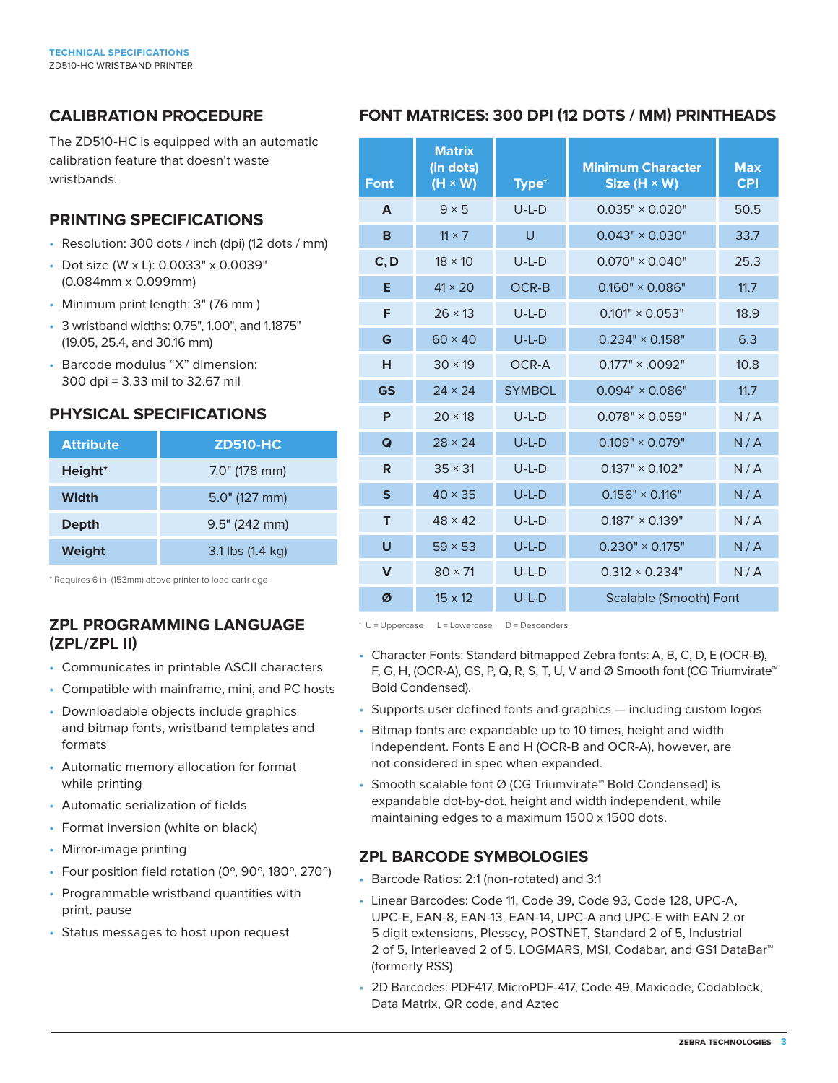# **CALIBRATION PROCEDURE**

The ZD510-HC is equipped with an automatic calibration feature that doesn't waste wristbands.

# **PRINTING SPECIFICATIONS**

- Resolution: 300 dots / inch (dpi) (12 dots / mm)
- Dot size (W x L): 0.0033" x 0.0039" (0.084mm x 0.099mm)
- Minimum print length: 3" (76 mm )
- 3 wristband widths: 0.75", 1.00", and 1.1875" (19.05, 25.4, and 30.16 mm)
- Barcode modulus "X" dimension: 300 dpi = 3.33 mil to 32.67 mil

# **PHYSICAL SPECIFICATIONS**

| <b>Attribute</b> | <b>ZD510-HC</b>  |  |  |
|------------------|------------------|--|--|
| Height*          | $7.0$ " (178 mm) |  |  |
| Width            | $5.0$ " (127 mm) |  |  |
| <b>Depth</b>     | 9.5" (242 mm)    |  |  |
| Weight           | 3.1 lbs (1.4 kg) |  |  |

\* Requires 6 in. (153mm) above printer to load cartridge

# **ZPL PROGRAMMING LANGUAGE (ZPL/ZPL II)**

- Communicates in printable ASCII characters
- Compatible with mainframe, mini, and PC hosts
- Downloadable objects include graphics and bitmap fonts, wristband templates and formats
- Automatic memory allocation for format while printing
- Automatic serialization of fields
- Format inversion (white on black)
- Mirror-image printing
- Four position field rotation (0º, 90º, 180º, 270º)
- Programmable wristband quantities with print, pause
- Status messages to host upon request

# **FONT MATRICES: 300 DPI (12 DOTS / MM) PRINTHEADS**

| <b>Font</b>  | <b>Matrix</b><br>(in dots)<br>$(H \times W)$ | Type <sup>+</sup> | <b>Minimum Character</b><br>Size (H $\times$ W) | <b>Max</b><br><b>CPI</b> |
|--------------|----------------------------------------------|-------------------|-------------------------------------------------|--------------------------|
| A            | $9 \times 5$                                 | $U-L-D$           | $0.035" \times 0.020"$                          | 50.5                     |
| B            | $11 \times 7$                                | U                 | $0.043" \times 0.030"$                          | 33.7                     |
| C, D         | $18 \times 10$                               | $U-L-D$           | $0.070" \times 0.040"$                          | 25.3                     |
| Е            | $41 \times 20$                               | OCR-B             | $0.160" \times 0.086"$                          | 11.7                     |
| F            | $26 \times 13$                               | $U-L-D$           | $0.101" \times 0.053"$                          | 18.9                     |
| G            | $60 \times 40$                               | $U-L-D$           | $0.234" \times 0.158"$                          | 6.3                      |
| н            | $30 \times 19$                               | OCR-A             | $0.177" \times 0.092"$                          | 10.8                     |
| <b>GS</b>    | $24 \times 24$                               | <b>SYMBOL</b>     | $0.094" \times 0.086"$                          | 11.7                     |
| P            | $20 \times 18$                               | $U-L-D$           | $0.078" \times 0.059"$                          | N/A                      |
| Q            | $28 \times 24$                               | $U-L-D$           | $0.109" \times 0.079"$                          | N/A                      |
| R            | $35 \times 31$                               | $U-L-D$           | $0.137" \times 0.102"$                          | N/A                      |
| $\mathbf{s}$ | $40 \times 35$                               | $U-L-D$           | $0.156" \times 0.116"$                          | N/A                      |
| т            | $48 \times 42$                               | $U-L-D$           | $0.187" \times 0.139"$                          | N/A                      |
| U            | $59 \times 53$                               | $U-L-D$           | $0.230" \times 0.175"$                          | N/A                      |
| $\mathbf v$  | $80 \times 71$                               | $U-L-D$           | $0.312 \times 0.234$ "                          | N/A                      |
| Ø            | $15 \times 12$                               | $U-L-D$           | <b>Scalable (Smooth) Font</b>                   |                          |

† U = Uppercase L = Lowercase D = Descenders

- Character Fonts: Standard bitmapped Zebra fonts: A, B, C, D, E (OCR-B), F, G, H, (OCR-A), GS, P, Q, R, S, T, U, V and Ø Smooth font (CG Triumvirate™ Bold Condensed).
- Supports user defined fonts and graphics including custom logos
- Bitmap fonts are expandable up to 10 times, height and width independent. Fonts E and H (OCR-B and OCR-A), however, are not considered in spec when expanded.
- Smooth scalable font Ø (CG Triumvirate™ Bold Condensed) is expandable dot-by-dot, height and width independent, while maintaining edges to a maximum 1500 x 1500 dots.

# **ZPL BARCODE SYMBOLOGIES**

- Barcode Ratios: 2:1 (non-rotated) and 3:1
- Linear Barcodes: Code 11, Code 39, Code 93, Code 128, UPC-A, UPC-E, EAN-8, EAN-13, EAN-14, UPC-A and UPC-E with EAN 2 or 5 digit extensions, Plessey, POSTNET, Standard 2 of 5, Industrial 2 of 5, Interleaved 2 of 5, LOGMARS, MSI, Codabar, and GS1 DataBar™ (formerly RSS)
- 2D Barcodes: PDF417, MicroPDF-417, Code 49, Maxicode, Codablock, Data Matrix, QR code, and Aztec